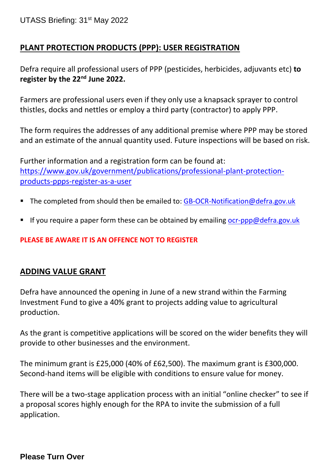## **PLANT PROTECTION PRODUCTS (PPP): USER REGISTRATION**

Defra require all professional users of PPP (pesticides, herbicides, adjuvants etc) **to register by the 22nd June 2022.** 

Farmers are professional users even if they only use a knapsack sprayer to control thistles, docks and nettles or employ a third party (contractor) to apply PPP.

The form requires the addresses of any additional premise where PPP may be stored and an estimate of the annual quantity used. Future inspections will be based on risk.

Further information and a registration form can be found at: [https://www.gov.uk/government/publications/professional-plant-protection](https://www.gov.uk/government/publications/professional-plant-protection-products-ppps-register-as-a-user)[products-ppps-register-as-a-user](https://www.gov.uk/government/publications/professional-plant-protection-products-ppps-register-as-a-user)

- The completed from should then be emailed to: [GB-OCR-Notification@defra.gov.uk](mailto:GB-OCR-Notification@defra.gov.uk)
- If you require a paper form these can be obtained by emailing  $ocr$ -ppp@defra.gov.uk

## **PLEASE BE AWARE IT IS AN OFFENCE NOT TO REGISTER**

## **ADDING VALUE GRANT**

Defra have announced the opening in June of a new strand within the Farming Investment Fund to give a 40% grant to projects adding value to agricultural production.

As the grant is competitive applications will be scored on the wider benefits they will provide to other businesses and the environment.

The minimum grant is £25,000 (40% of £62,500). The maximum grant is £300,000. Second-hand items will be eligible with conditions to ensure value for money.

There will be a two-stage application process with an initial "online checker" to see if a proposal scores highly enough for the RPA to invite the submission of a full application.